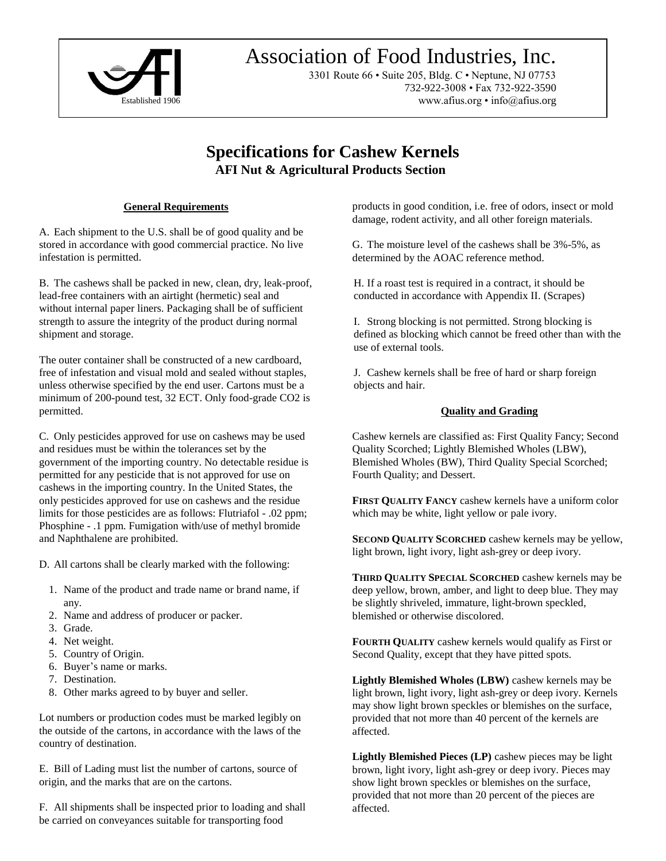

# Association of Food Industries, Inc. Association of Food Industries, Inc.

3301 Route 66 • Suite 205, Bldg. C • Neptune, NJ 07753 3301 Route 66 • Suite 205, Bldg. C • Neptune, NJ 07753 732-922-3008 • Fax 732-922-3590 732-922-3008 • Fax 732-922-3590 Established 1906 www.afius.org • info@afius.org

# **Specifications for Cashew Kernels AFI Nut & Agricultural Products Section**

#### **General Requirements**

A. Each shipment to the U.S. shall be of good quality and be stored in accordance with good commercial practice. No live infestation is permitted.

B. The cashews shall be packed in new, clean, dry, leak-proof, lead-free containers with an airtight (hermetic) seal and without internal paper liners. Packaging shall be of sufficient strength to assure the integrity of the product during normal shipment and storage.

The outer container shall be constructed of a new cardboard, free of infestation and visual mold and sealed without staples, unless otherwise specified by the end user. Cartons must be a minimum of 200-pound test, 32 ECT. Only food-grade CO2 is permitted.

C. Only pesticides approved for use on cashews may be used and residues must be within the tolerances set by the government of the importing country. No detectable residue is permitted for any pesticide that is not approved for use on cashews in the importing country. In the United States, the only pesticides approved for use on cashews and the residue limits for those pesticides are as follows: Flutriafol - .02 ppm; Phosphine - .1 ppm. Fumigation with/use of methyl bromide and Naphthalene are prohibited.

D. All cartons shall be clearly marked with the following:

- 1. Name of the product and trade name or brand name, if any.
- 2. Name and address of producer or packer.
- 3. Grade.
- 4. Net weight.
- 5. Country of Origin.
- 6. Buyer's name or marks.
- 7. Destination.
- 8. Other marks agreed to by buyer and seller.

Lot numbers or production codes must be marked legibly on the outside of the cartons, in accordance with the laws of the country of destination.

E. Bill of Lading must list the number of cartons, source of origin, and the marks that are on the cartons.

F. All shipments shall be inspected prior to loading and shall be carried on conveyances suitable for transporting food

products in good condition, i.e. free of odors, insect or mold damage, rodent activity, and all other foreign materials.

G. The moisture level of the cashews shall be 3%-5%, as determined by the AOAC reference method.

H. If a roast test is required in a contract, it should be conducted in accordance with Appendix II. (Scrapes)

I. Strong blocking is not permitted. Strong blocking is defined as blocking which cannot be freed other than with the use of external tools.

J. Cashew kernels shall be free of hard or sharp foreign objects and hair.

#### **Quality and Grading**

Cashew kernels are classified as: First Quality Fancy; Second Quality Scorched; Lightly Blemished Wholes (LBW), Blemished Wholes (BW), Third Quality Special Scorched; Fourth Quality; and Dessert.

**FIRST QUALITY FANCY** cashew kernels have a uniform color which may be white, light yellow or pale ivory.

**SECOND QUALITY SCORCHED** cashew kernels may be yellow, light brown, light ivory, light ash-grey or deep ivory.

**THIRD QUALITY SPECIAL SCORCHED** cashew kernels may be deep yellow, brown, amber, and light to deep blue. They may be slightly shriveled, immature, light-brown speckled, blemished or otherwise discolored.

**FOURTH QUALITY** cashew kernels would qualify as First or Second Quality, except that they have pitted spots.

**Lightly Blemished Wholes (LBW)** cashew kernels may be light brown, light ivory, light ash-grey or deep ivory. Kernels may show light brown speckles or blemishes on the surface, provided that not more than 40 percent of the kernels are affected.

**Lightly Blemished Pieces (LP)** cashew pieces may be light brown, light ivory, light ash-grey or deep ivory. Pieces may show light brown speckles or blemishes on the surface, provided that not more than 20 percent of the pieces are affected.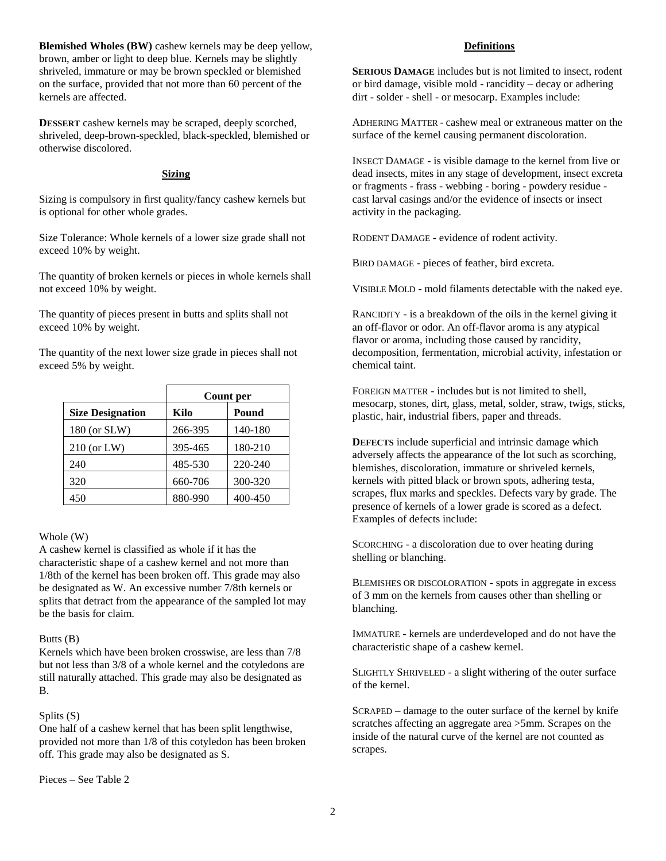**Blemished Wholes (BW)** cashew kernels may be deep yellow, brown, amber or light to deep blue. Kernels may be slightly shriveled, immature or may be brown speckled or blemished on the surface, provided that not more than 60 percent of the kernels are affected.

**DESSERT** cashew kernels may be scraped, deeply scorched, shriveled, deep-brown-speckled, black-speckled, blemished or otherwise discolored.

#### **Sizing**

Sizing is compulsory in first quality/fancy cashew kernels but is optional for other whole grades.

Size Tolerance: Whole kernels of a lower size grade shall not exceed 10% by weight.

The quantity of broken kernels or pieces in whole kernels shall not exceed 10% by weight.

The quantity of pieces present in butts and splits shall not exceed 10% by weight.

The quantity of the next lower size grade in pieces shall not exceed 5% by weight.

|                         | Count per |         |
|-------------------------|-----------|---------|
| <b>Size Designation</b> | Kilo      | Pound   |
| 180 (or SLW)            | 266-395   | 140-180 |
| $210$ (or LW)           | 395-465   | 180-210 |
| 240                     | 485-530   | 220-240 |
| 320                     | 660-706   | 300-320 |
| 450                     | 880-990   | 400-450 |

#### Whole (W)

A cashew kernel is classified as whole if it has the characteristic shape of a cashew kernel and not more than 1/8th of the kernel has been broken off. This grade may also be designated as W. An excessive number 7/8th kernels or splits that detract from the appearance of the sampled lot may be the basis for claim.

#### Butts (B)

Kernels which have been broken crosswise, are less than 7/8 but not less than 3/8 of a whole kernel and the cotyledons are still naturally attached. This grade may also be designated as B.

#### Splits (S)

One half of a cashew kernel that has been split lengthwise, provided not more than 1/8 of this cotyledon has been broken off. This grade may also be designated as S.

Pieces – See Table 2

#### **Definitions**

**SERIOUS DAMAGE** includes but is not limited to insect, rodent or bird damage, visible mold - rancidity – decay or adhering dirt - solder - shell - or mesocarp. Examples include:

ADHERING MATTER - cashew meal or extraneous matter on the surface of the kernel causing permanent discoloration.

INSECT DAMAGE - is visible damage to the kernel from live or dead insects, mites in any stage of development, insect excreta or fragments - frass - webbing - boring - powdery residue cast larval casings and/or the evidence of insects or insect activity in the packaging.

RODENT DAMAGE - evidence of rodent activity.

BIRD DAMAGE - pieces of feather, bird excreta.

VISIBLE MOLD - mold filaments detectable with the naked eye.

RANCIDITY - is a breakdown of the oils in the kernel giving it an off-flavor or odor. An off-flavor aroma is any atypical flavor or aroma, including those caused by rancidity, decomposition, fermentation, microbial activity, infestation or chemical taint.

FOREIGN MATTER - includes but is not limited to shell, mesocarp, stones, dirt, glass, metal, solder, straw, twigs, sticks, plastic, hair, industrial fibers, paper and threads.

**DEFECTS** include superficial and intrinsic damage which adversely affects the appearance of the lot such as scorching, blemishes, discoloration, immature or shriveled kernels, kernels with pitted black or brown spots, adhering testa, scrapes, flux marks and speckles. Defects vary by grade. The presence of kernels of a lower grade is scored as a defect. Examples of defects include:

SCORCHING - a discoloration due to over heating during shelling or blanching.

BLEMISHES OR DISCOLORATION - spots in aggregate in excess of 3 mm on the kernels from causes other than shelling or blanching.

IMMATURE - kernels are underdeveloped and do not have the characteristic shape of a cashew kernel.

SLIGHTLY SHRIVELED - a slight withering of the outer surface of the kernel.

SCRAPED – damage to the outer surface of the kernel by knife scratches affecting an aggregate area >5mm. Scrapes on the inside of the natural curve of the kernel are not counted as scrapes.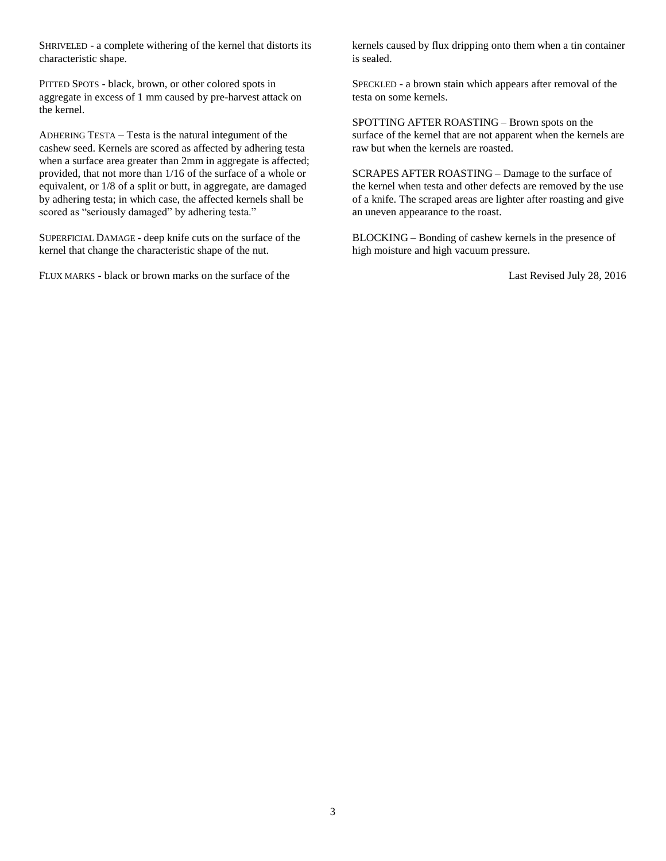SHRIVELED - a complete withering of the kernel that distorts its characteristic shape.

PITTED SPOTS - black, brown, or other colored spots in aggregate in excess of 1 mm caused by pre-harvest attack on the kernel.

ADHERING TESTA – Testa is the natural integument of the cashew seed. Kernels are scored as affected by adhering testa when a surface area greater than 2mm in aggregate is affected; provided, that not more than 1/16 of the surface of a whole or equivalent, or 1/8 of a split or butt, in aggregate, are damaged by adhering testa; in which case, the affected kernels shall be scored as "seriously damaged" by adhering testa."

SUPERFICIAL DAMAGE - deep knife cuts on the surface of the kernel that change the characteristic shape of the nut.

FLUX MARKS - black or brown marks on the surface of the

kernels caused by flux dripping onto them when a tin container is sealed.

SPECKLED - a brown stain which appears after removal of the testa on some kernels.

SPOTTING AFTER ROASTING – Brown spots on the surface of the kernel that are not apparent when the kernels are raw but when the kernels are roasted.

SCRAPES AFTER ROASTING – Damage to the surface of the kernel when testa and other defects are removed by the use of a knife. The scraped areas are lighter after roasting and give an uneven appearance to the roast.

BLOCKING – Bonding of cashew kernels in the presence of high moisture and high vacuum pressure.

Last Revised July 28, 2016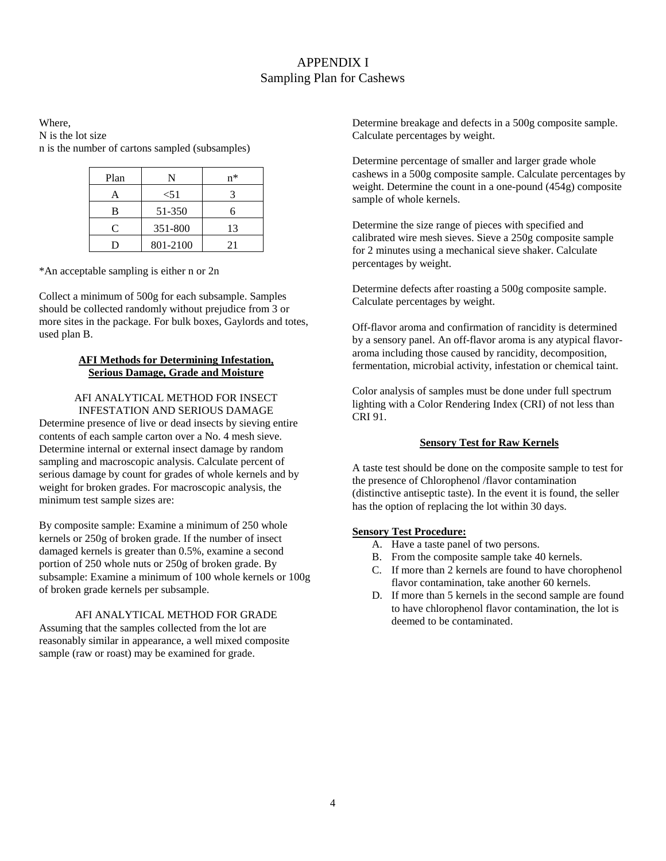## APPENDIX I Sampling Plan for Cashews

Where, N is the lot size n is the number of cartons sampled (subsamples)

| Plan |          | n* |
|------|----------|----|
|      | < 51     |    |
| B    | 51-350   | ĥ  |
| C    | 351-800  | 13 |
|      | 801-2100 | 21 |

\*An acceptable sampling is either n or 2n

Collect a minimum of 500g for each subsample. Samples should be collected randomly without prejudice from 3 or more sites in the package. For bulk boxes, Gaylords and totes, used plan B.

#### **AFI Methods for Determining Infestation, Serious Damage, Grade and Moisture**

#### AFI ANALYTICAL METHOD FOR INSECT INFESTATION AND SERIOUS DAMAGE

Determine presence of live or dead insects by sieving entire contents of each sample carton over a No. 4 mesh sieve. Determine internal or external insect damage by random sampling and macroscopic analysis. Calculate percent of serious damage by count for grades of whole kernels and by weight for broken grades. For macroscopic analysis, the minimum test sample sizes are:

By composite sample: Examine a minimum of 250 whole kernels or 250g of broken grade. If the number of insect damaged kernels is greater than 0.5%, examine a second portion of 250 whole nuts or 250g of broken grade. By subsample: Examine a minimum of 100 whole kernels or 100g of broken grade kernels per subsample.

#### AFI ANALYTICAL METHOD FOR GRADE Assuming that the samples collected from the lot are reasonably similar in appearance, a well mixed composite sample (raw or roast) may be examined for grade.

Determine breakage and defects in a 500g composite sample. Calculate percentages by weight.

Determine percentage of smaller and larger grade whole cashews in a 500g composite sample. Calculate percentages by weight. Determine the count in a one-pound (454g) composite sample of whole kernels.

Determine the size range of pieces with specified and calibrated wire mesh sieves. Sieve a 250g composite sample for 2 minutes using a mechanical sieve shaker. Calculate percentages by weight.

Determine defects after roasting a 500g composite sample. Calculate percentages by weight.

Off-flavor aroma and confirmation of rancidity is determined by a sensory panel. An off-flavor aroma is any atypical flavoraroma including those caused by rancidity, decomposition, fermentation, microbial activity, infestation or chemical taint.

Color analysis of samples must be done under full spectrum lighting with a Color Rendering Index (CRI) of not less than CRI 91.

#### **Sensory Test for Raw Kernels**

A taste test should be done on the composite sample to test for the presence of Chlorophenol /flavor contamination (distinctive antiseptic taste). In the event it is found, the seller has the option of replacing the lot within 30 days.

#### **Sensory Test Procedure:**

- A. Have a taste panel of two persons.
- B. From the composite sample take 40 kernels.
- C. If more than 2 kernels are found to have chorophenol flavor contamination, take another 60 kernels.
- D. If more than 5 kernels in the second sample are found to have chlorophenol flavor contamination, the lot is deemed to be contaminated.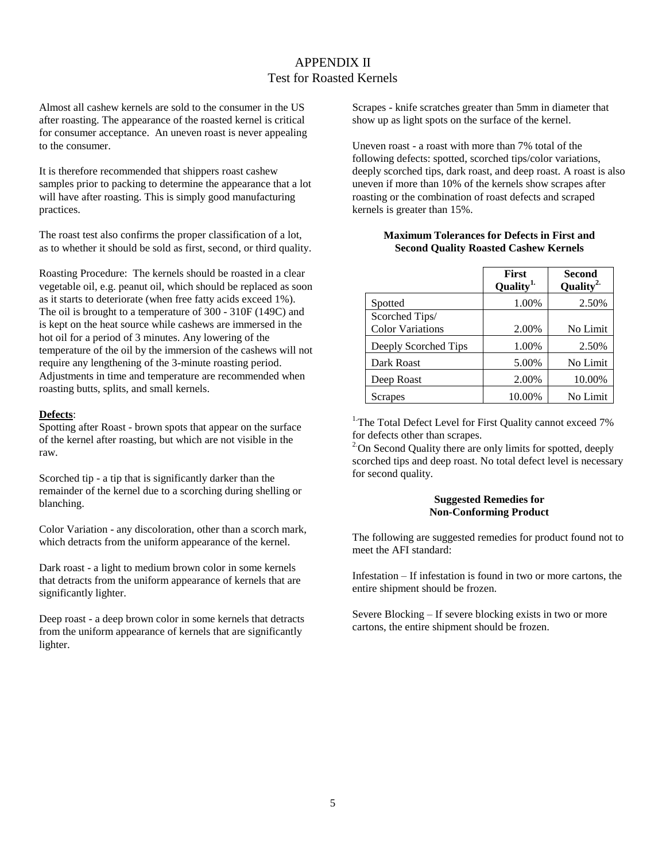## APPENDIX II Test for Roasted Kernels

Almost all cashew kernels are sold to the consumer in the US after roasting. The appearance of the roasted kernel is critical for consumer acceptance. An uneven roast is never appealing to the consumer.

It is therefore recommended that shippers roast cashew samples prior to packing to determine the appearance that a lot will have after roasting. This is simply good manufacturing practices.

The roast test also confirms the proper classification of a lot, as to whether it should be sold as first, second, or third quality.

Roasting Procedure: The kernels should be roasted in a clear vegetable oil, e.g. peanut oil, which should be replaced as soon as it starts to deteriorate (when free fatty acids exceed 1%). The oil is brought to a temperature of 300 - 310F (149C) and is kept on the heat source while cashews are immersed in the hot oil for a period of 3 minutes. Any lowering of the temperature of the oil by the immersion of the cashews will not require any lengthening of the 3-minute roasting period. Adjustments in time and temperature are recommended when roasting butts, splits, and small kernels.

#### **Defects**:

Spotting after Roast - brown spots that appear on the surface of the kernel after roasting, but which are not visible in the raw.

Scorched tip - a tip that is significantly darker than the remainder of the kernel due to a scorching during shelling or blanching.

Color Variation - any discoloration, other than a scorch mark, which detracts from the uniform appearance of the kernel.

Dark roast - a light to medium brown color in some kernels that detracts from the uniform appearance of kernels that are significantly lighter.

Deep roast - a deep brown color in some kernels that detracts from the uniform appearance of kernels that are significantly lighter.

Scrapes - knife scratches greater than 5mm in diameter that show up as light spots on the surface of the kernel.

Uneven roast - a roast with more than 7% total of the following defects: spotted, scorched tips/color variations, deeply scorched tips, dark roast, and deep roast. A roast is also uneven if more than 10% of the kernels show scrapes after roasting or the combination of roast defects and scraped kernels is greater than 15%.

#### **Maximum Tolerances for Defects in First and Second Quality Roasted Cashew Kernels**

|                         | <b>First</b><br>Quality <sup>1.</sup> | Second<br>Quality <sup>2.</sup> |
|-------------------------|---------------------------------------|---------------------------------|
| Spotted                 | 1.00%                                 | 2.50%                           |
| Scorched Tips/          |                                       |                                 |
| <b>Color Variations</b> | 2.00%                                 | No Limit                        |
| Deeply Scorched Tips    | 1.00%                                 | 2.50%                           |
| Dark Roast              | 5.00%                                 | No Limit                        |
| Deep Roast              | 2.00%                                 | 10.00%                          |
| Scrapes                 | 10.00%                                | No Limit                        |

<sup>1.</sup>The Total Defect Level for First Quality cannot exceed 7% for defects other than scrapes.

 $2^{\circ}$ On Second Quality there are only limits for spotted, deeply scorched tips and deep roast. No total defect level is necessary for second quality.

#### **Suggested Remedies for Non-Conforming Product**

The following are suggested remedies for product found not to meet the AFI standard:

Infestation – If infestation is found in two or more cartons, the entire shipment should be frozen.

Severe Blocking – If severe blocking exists in two or more cartons, the entire shipment should be frozen.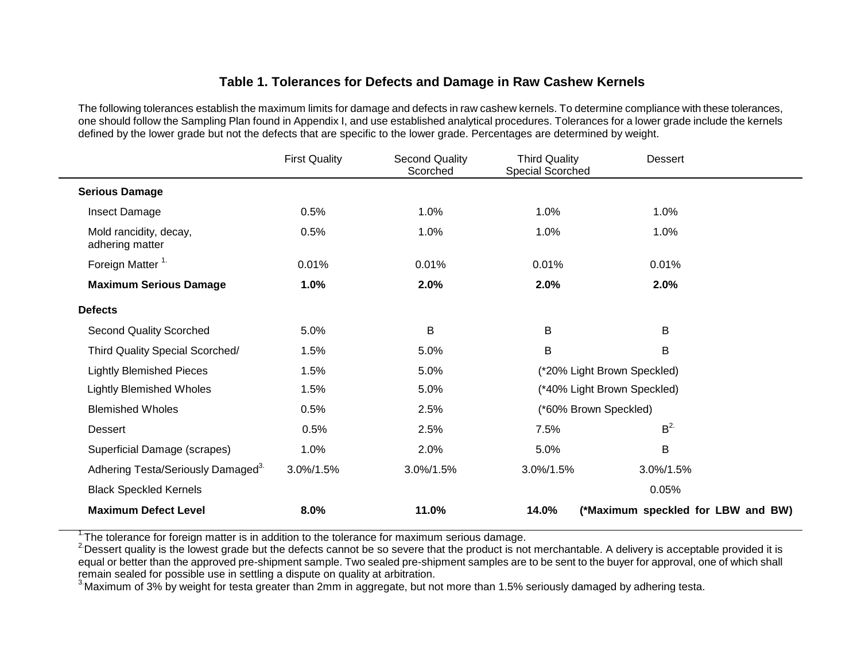## **Table 1. Tolerances for Defects and Damage in Raw Cashew Kernels**

The following tolerances establish the maximum limits for damage and defects in raw cashew kernels. To determine compliance with these tolerances, one should follow the Sampling Plan found in Appendix I, and use established analytical procedures. Tolerances for a lower grade include the kernels defined by the lower grade but not the defects that are specific to the lower grade. Percentages are determined by weight.

|                                                | <b>First Quality</b> | <b>Second Quality</b><br>Scorched | <b>Third Quality</b><br>Special Scorched | <b>Dessert</b>                     |
|------------------------------------------------|----------------------|-----------------------------------|------------------------------------------|------------------------------------|
| <b>Serious Damage</b>                          |                      |                                   |                                          |                                    |
| Insect Damage                                  | 0.5%                 | 1.0%                              | 1.0%                                     | 1.0%                               |
| Mold rancidity, decay,<br>adhering matter      | 0.5%                 | 1.0%                              | 1.0%                                     | 1.0%                               |
| Foreign Matter <sup>1.</sup>                   | 0.01%                | 0.01%                             | 0.01%                                    | 0.01%                              |
| <b>Maximum Serious Damage</b>                  | 1.0%                 | 2.0%                              | 2.0%                                     | 2.0%                               |
| <b>Defects</b>                                 |                      |                                   |                                          |                                    |
| <b>Second Quality Scorched</b>                 | 5.0%                 | B                                 | B                                        | B                                  |
| Third Quality Special Scorched/                | 1.5%                 | 5.0%                              | B                                        | B                                  |
| <b>Lightly Blemished Pieces</b>                | 1.5%                 | 5.0%                              |                                          | (*20% Light Brown Speckled)        |
| <b>Lightly Blemished Wholes</b>                | 1.5%                 | 5.0%                              |                                          | (*40% Light Brown Speckled)        |
| <b>Blemished Wholes</b>                        | 0.5%                 | 2.5%                              | (*60% Brown Speckled)                    |                                    |
| Dessert                                        | 0.5%                 | 2.5%                              | 7.5%                                     | B <sup>2</sup>                     |
| Superficial Damage (scrapes)                   | 1.0%                 | 2.0%                              | 5.0%                                     | B                                  |
| Adhering Testa/Seriously Damaged <sup>3.</sup> | 3.0%/1.5%            | 3.0%/1.5%                         | 3.0%/1.5%                                | 3.0%/1.5%                          |
| <b>Black Speckled Kernels</b>                  |                      |                                   |                                          | 0.05%                              |
| <b>Maximum Defect Level</b>                    | 8.0%                 | 11.0%                             | 14.0%                                    | (*Maximum speckled for LBW and BW) |

 $1$ . The tolerance for foreign matter is in addition to the tolerance for maximum serious damage.

<sup>2</sup> Dessert quality is the lowest grade but the defects cannot be so severe that the product is not merchantable. A delivery is acceptable provided it is equal or better than the approved pre-shipment sample. Two sealed pre-shipment samples are to be sent to the buyer for approval, one of which shall remain sealed for possible use in settling a dispute on quality at arbitration.

<sup>3</sup> Maximum of 3% by weight for testa greater than 2mm in aggregate, but not more than 1.5% seriously damaged by adhering testa.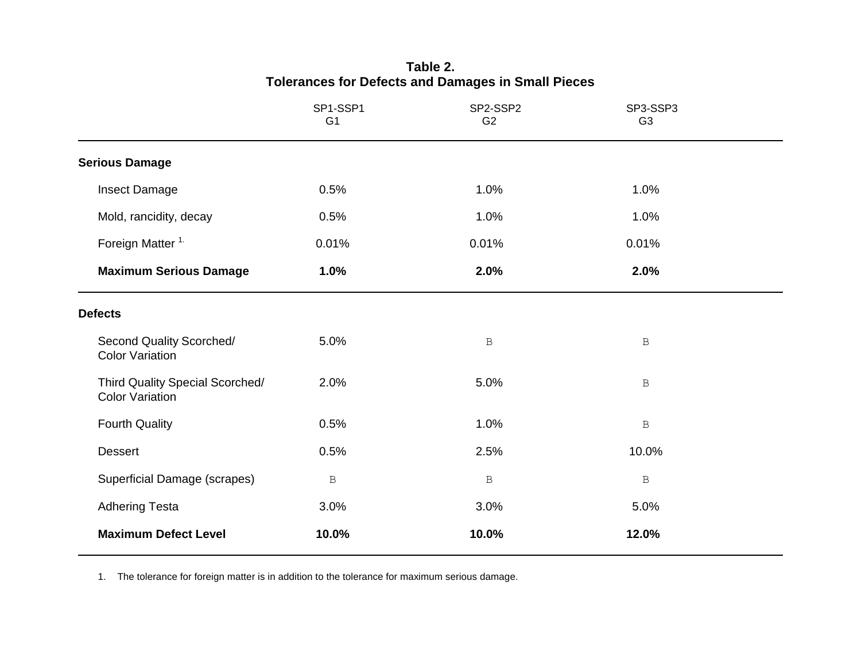|                                                           | SP1-SSP1<br>G <sub>1</sub> | SP2-SSP2<br>G <sub>2</sub> | SP3-SSP3<br>G <sub>3</sub> |  |
|-----------------------------------------------------------|----------------------------|----------------------------|----------------------------|--|
| <b>Serious Damage</b>                                     |                            |                            |                            |  |
| Insect Damage                                             | 0.5%                       | 1.0%                       | 1.0%                       |  |
| Mold, rancidity, decay                                    | 0.5%                       | 1.0%                       | 1.0%                       |  |
| Foreign Matter <sup>1.</sup>                              | 0.01%                      | 0.01%                      | 0.01%                      |  |
| <b>Maximum Serious Damage</b>                             | 1.0%                       | 2.0%                       | 2.0%                       |  |
| <b>Defects</b>                                            |                            |                            |                            |  |
| Second Quality Scorched/<br><b>Color Variation</b>        | 5.0%                       | $\mathbf B$                | $\, {\bf B}$               |  |
| Third Quality Special Scorched/<br><b>Color Variation</b> | 2.0%                       | 5.0%                       | $\, {\bf B}$               |  |
| <b>Fourth Quality</b>                                     | 0.5%                       | 1.0%                       | $\, {\bf B}$               |  |
| <b>Dessert</b>                                            | 0.5%                       | 2.5%                       | 10.0%                      |  |
| Superficial Damage (scrapes)                              | $\, {\bf B}$               | $\, {\bf B}$               | $\, {\bf B}$               |  |
| <b>Adhering Testa</b>                                     | 3.0%                       | 3.0%                       | 5.0%                       |  |
| <b>Maximum Defect Level</b>                               | 10.0%                      | 10.0%                      | 12.0%                      |  |

## **Table 2. Tolerances for Defects and Damages in Small Pieces**

1. The tolerance for foreign matter is in addition to the tolerance for maximum serious damage.